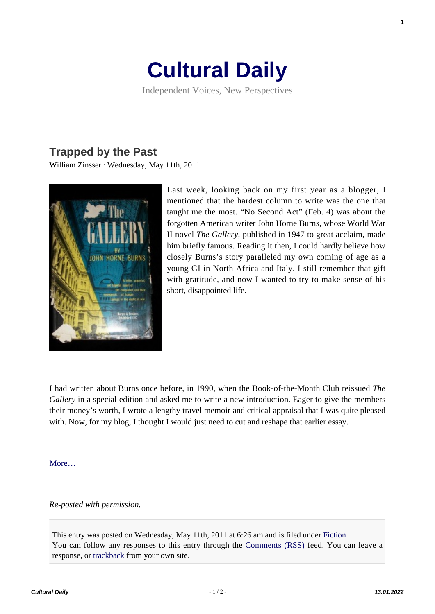## **[Cultural Daily](https://culturaldaily.com/)**

Independent Voices, New Perspectives

## **[Trapped by the Past](https://culturaldaily.com/trapped-by-the-past/)**

William Zinsser · Wednesday, May 11th, 2011



Last week, looking back on my first year as a blogger, I mentioned that the hardest column to write was the one that taught me the most. "No Second Act" (Feb. 4) was about the forgotten American writer John Horne Burns, whose World War II novel *The Gallery*, published in 1947 to great acclaim, made him briefly famous. Reading it then, I could hardly believe how closely Burns's story paralleled my own coming of age as a young GI in North Africa and Italy. I still remember that gift with gratitude, and now I wanted to try to make sense of his short, disappointed life.

I had written about Burns once before, in 1990, when the Book-of-the-Month Club reissued *The Gallery* in a special edition and asked me to write a new introduction. Eager to give the members their money's worth, I wrote a lengthy travel memoir and critical appraisal that I was quite pleased with. Now, for my blog, I thought I would just need to cut and reshape that earlier essay.

**More** 

## *Re-posted with permission.*

This entry was posted on Wednesday, May 11th, 2011 at 6:26 am and is filed under [Fiction](https://culturaldaily.com/category/literature/fiction/) You can follow any responses to this entry through the [Comments \(RSS\)](https://culturaldaily.com/comments/feed/) feed. You can leave a response, or [trackback](https://culturaldaily.com/trapped-by-the-past/trackback/) from your own site.

**1**